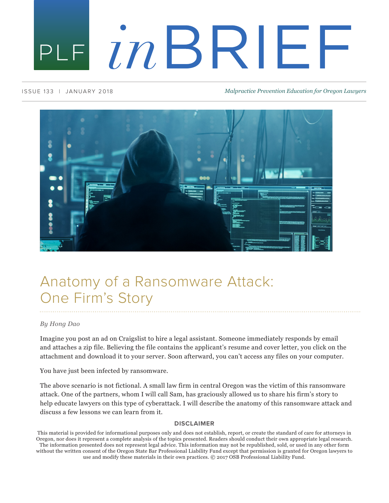# PLE INBRIEF

#### ISSUE 133 | JANUARY 2018 *Malpractice Prevention Education for Oregon Lawyers*



# Anatomy of a Ransomware Attack: One Firm's Story

#### *By Hong Dao*

Imagine you post an ad on Craigslist to hire a legal assistant. Someone immediately responds by email and attaches a zip file. Believing the file contains the applicant's resume and cover letter, you click on the attachment and download it to your server. Soon afterward, you can't access any files on your computer.

You have just been infected by ransomware.

The above scenario is not fictional. A small law firm in central Oregon was the victim of this ransomware attack. One of the partners, whom I will call Sam, has graciously allowed us to share his firm's story to help educate lawyers on this type of cyberattack. I will describe the anatomy of this ransomware attack and discuss a few lessons we can learn from it.

#### **DISCLAIMER**

without the written consent of the Oregon State Bar Professional Liability Fund except that permission is granted for Oregon lawyers to use and modify these materials in their own practices. © 2017 OSB Professional Liability Fund.

This material is provided for informational purposes only and does not establish, report, or create the standard of care for attorneys in Oregon, nor does it represent a complete analysis of the topics presented. Readers should conduct their own appropriate legal research. The information presented does not represent legal advice. This information may not be republished, sold, or used in any other form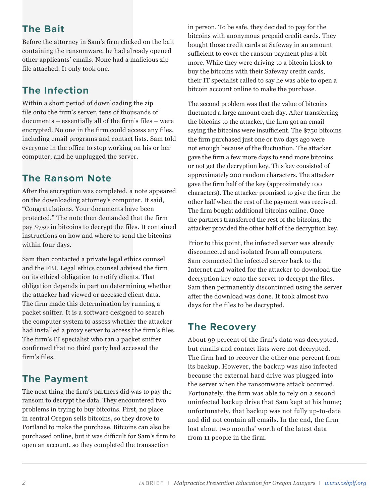# **The Bait**

Before the attorney in Sam's firm clicked on the bait containing the ransomware, he had already opened other applicants' emails. None had a malicious zip file attached. It only took one.

# **The Infection**

Within a short period of downloading the zip file onto the firm's server, tens of thousands of documents – essentially all of the firm's files – were encrypted. No one in the firm could access any files, including email programs and contact lists. Sam told everyone in the office to stop working on his or her computer, and he unplugged the server.

# **The Ransom Note**

After the encryption was completed, a note appeared on the downloading attorney's computer. It said, "Congratulations. Your documents have been protected." The note then demanded that the firm pay \$750 in bitcoins to decrypt the files. It contained instructions on how and where to send the bitcoins within four days.

Sam then contacted a private legal ethics counsel and the FBI. Legal ethics counsel advised the firm on its ethical obligation to notify clients. That obligation depends in part on determining whether the attacker had viewed or accessed client data. The firm made this determination by running a packet sniffer. It is a software designed to search the computer system to assess whether the attacker had installed a proxy server to access the firm's files. The firm's IT specialist who ran a packet sniffer confirmed that no third party had accessed the firm's files.

# **The Payment**

The next thing the firm's partners did was to pay the ransom to decrypt the data. They encountered two problems in trying to buy bitcoins. First, no place in central Oregon sells bitcoins, so they drove to Portland to make the purchase. Bitcoins can also be purchased online, but it was difficult for Sam's firm to open an account, so they completed the transaction

in person. To be safe, they decided to pay for the bitcoins with anonymous prepaid credit cards. They bought those credit cards at Safeway in an amount sufficient to cover the ransom payment plus a bit more. While they were driving to a bitcoin kiosk to buy the bitcoins with their Safeway credit cards, their IT specialist called to say he was able to open a bitcoin account online to make the purchase.

The second problem was that the value of bitcoins fluctuated a large amount each day. After transferring the bitcoins to the attacker, the firm got an email saying the bitcoins were insufficient. The \$750 bitcoins the firm purchased just one or two days ago were not enough because of the fluctuation. The attacker gave the firm a few more days to send more bitcoins or not get the decryption key. This key consisted of approximately 200 random characters. The attacker gave the firm half of the key (approximately 100 characters). The attacker promised to give the firm the other half when the rest of the payment was received. The firm bought additional bitcoins online. Once the partners transferred the rest of the bitcoins, the attacker provided the other half of the decryption key.

Prior to this point, the infected server was already disconnected and isolated from all computers. Sam connected the infected server back to the Internet and waited for the attacker to download the decryption key onto the server to decrypt the files. Sam then permanently discontinued using the server after the download was done. It took almost two days for the files to be decrypted.

### **The Recovery**

About 99 percent of the firm's data was decrypted, but emails and contact lists were not decrypted. The firm had to recover the other one percent from its backup. However, the backup was also infected because the external hard drive was plugged into the server when the ransomware attack occurred. Fortunately, the firm was able to rely on a second uninfected backup drive that Sam kept at his home; unfortunately, that backup was not fully up-to-date and did not contain all emails. In the end, the firm lost about two months' worth of the latest data from 11 people in the firm.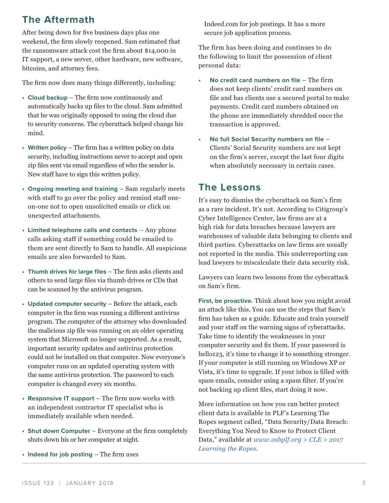### **The Aftermath**

After being down for five business days plus one weekend, the firm slowly reopened. Sam estimated that the ransomware attack cost the firm about \$14,000 in IT support, a new server, other hardware, new software, bitcoins, and attorney fees.

The firm now does many things differently, including:

- **• Cloud backup** The firm now continuously and automatically backs up files to the cloud. Sam admitted that he was originally opposed to using the cloud due to security concerns. The cyberattack helped change his mind.
- **• Written policy** The firm has a written policy on data security, including instructions never to accept and open zip files sent via email regardless of who the sender is. New staff have to sign this written policy.
- **• Ongoing meeting and training**  Sam regularly meets with staff to go over the policy and remind staff oneon-one not to open unsolicited emails or click on unexpected attachments.
- **• Limited telephone calls and contacts**  Any phone calls asking staff if something could be emailed to them are sent directly to Sam to handle. All suspicious emails are also forwarded to Sam.
- **• Thumb drives for large files** The firm asks clients and others to send large files via thumb drives or CDs that can be scanned by the antivirus program.
- **• Updated computer security** Before the attack, each computer in the firm was running a different antivirus program. The computer of the attorney who downloaded the malicious zip file was running on an older operating system that Microsoft no longer supported. As a result, important security updates and antivirus protection could not be installed on that computer. Now everyone's computer runs on an updated operating system with the same antivirus protection. The password to each computer is changed every six months.
- **• Responsive IT support** The firm now works with an independent contractor IT specialist who is immediately available when needed.
- **• Shut down Computer** Everyone at the firm completely shuts down his or her computer at night.
- **• Indeed for job posting** The firm uses

Indeed.com for job postings. It has a more secure job application process.

The firm has been doing and continues to do the following to limit the possession of client personal data:

- **• No credit card numbers on file** The firm does not keep clients' credit card numbers on file and has clients use a secured portal to make payments. Credit card numbers obtained on the phone are immediately shredded once the transaction is approved.
- **• No full Social Security numbers on file** Clients' Social Security numbers are not kept on the firm's server, except the last four digits when absolutely necessary in certain cases.

#### **The Lessons**

It's easy to dismiss the cyberattack on Sam's firm as a rare incident. It's not. According to Citigroup's Cyber Intelligence Center, law firms are at a high risk for data breaches because lawyers are warehouses of valuable data belonging to clients and third parties. Cyberattacks on law firms are usually not reported in the media. This underreporting can lead lawyers to miscalculate their data security risk.

Lawyers can learn two lessons from the cyberattack on Sam's firm.

**First, be proactive.** Think about how you might avoid an attack like this. You can use the steps that Sam's firm has taken as a guide. Educate and train yourself and your staff on the warning signs of cyberattacks. Take time to identify the weaknesses in your computer security and fix them. If your password is hello123, it's time to change it to something stronger. If your computer is still running on Windows XP or Vista, it's time to upgrade. If your inbox is filled with spam emails, consider using a spam filter. If you're not backing up client files, start doing it now.

More information on how you can better protect client data is available in PLF's Learning The Ropes segment called, "Data Security/Data Breach: Everything You Need to Know to Protect Client Data," available at *www.osbplf.org > CLE > 2017 Learning the Ropes*.